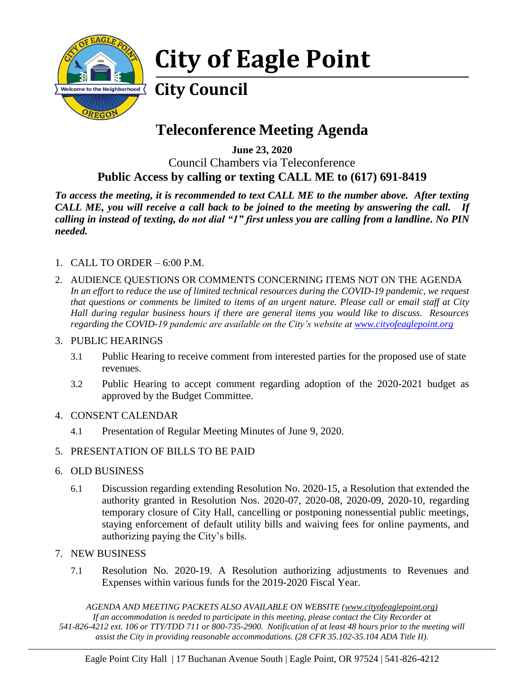

## **City of Eagle Point**

## **City Council**

## **Teleconference Meeting Agenda**

**June 23, 2020** Council Chambers via Teleconference **Public Access by calling or texting CALL ME to (617) 691-8419**

*To access the meeting, it is recommended to text CALL ME to the number above. After texting CALL ME, you will receive a call back to be joined to the meeting by answering the call. If calling in instead of texting, do not dial "1" first unless you are calling from a landline. No PIN needed.* 

- 1. CALL TO ORDER 6:00 P.M.
- 2. AUDIENCE QUESTIONS OR COMMENTS CONCERNING ITEMS NOT ON THE AGENDA *In an effort to reduce the use of limited technical resources during the COVID-19 pandemic, we request that questions or comments be limited to items of an urgent nature. Please call or email staff at City Hall during regular business hours if there are general items you would like to discuss. Resources regarding the COVID-19 pandemic are available on the City's website at [www.cityofeaglepoint.org](http://www.cityofeaglepoint.org/)*

## 3. PUBLIC HEARINGS

- 3.1 Public Hearing to receive comment from interested parties for the proposed use of state revenues.
- 3.2 Public Hearing to accept comment regarding adoption of the 2020-2021 budget as approved by the Budget Committee.
- 4. CONSENT CALENDAR
	- 4.1 Presentation of Regular Meeting Minutes of June 9, 2020.
- 5. PRESENTATION OF BILLS TO BE PAID
- 6. OLD BUSINESS
	- 6.1 Discussion regarding extending Resolution No. 2020-15, a Resolution that extended the authority granted in Resolution Nos. 2020-07, 2020-08, 2020-09, 2020-10, regarding temporary closure of City Hall, cancelling or postponing nonessential public meetings, staying enforcement of default utility bills and waiving fees for online payments, and authorizing paying the City's bills.
- 7. NEW BUSINESS
	- 7.1 Resolution No. 2020-19. A Resolution authorizing adjustments to Revenues and Expenses within various funds for the 2019-2020 Fiscal Year.

*AGENDA AND MEETING PACKETS ALSO AVAILABLE ON WEBSITE (www.cityofeaglepoint.org) If an accommodation is needed to participate in this meeting, please contact the City Recorder at 541-826-4212 ext. 106 or TTY/TDD 711 or 800-735-2900. Notification of at least 48 hours prior to the meeting will assist the City in providing reasonable accommodations. (28 CFR 35.102-35.104 ADA Title II).*